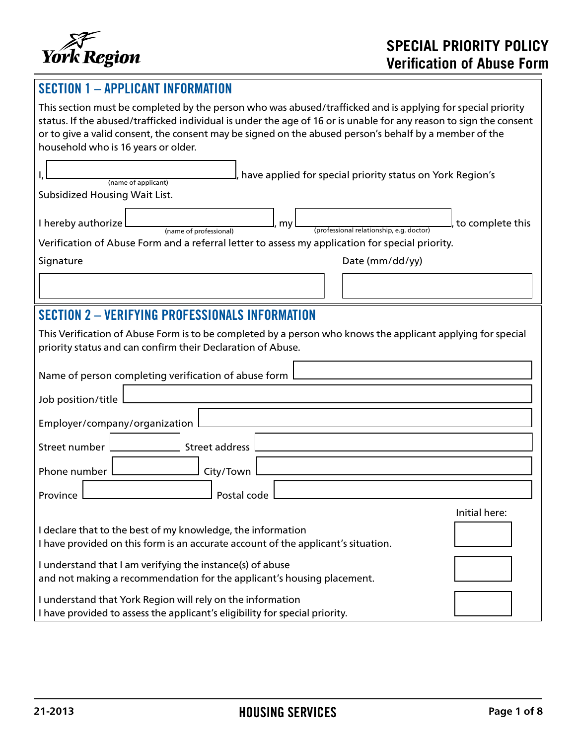

# SECTION 1 – APPLICANT INFORMATION This section must be completed by the person who was abused/trafficked and is applying for special priority status. If the abused/trafficked individual is under the age of 16 or is unable for any reason to sign the consent or to give a valid consent, the consent may be signed on the abused person's behalf by a member of the household who is 16 years or older. have applied for special priority status on York Region's Subsidized Housing Wait List. I hereby authorize  $\Box$  (name of professional)  $\Box$ , my  $\Box$  (professional relationship, e.g. doctor)  $\Box$ , to complete this Verification of Abuse Form and a referral letter to assess my application for special priority. Signature Date (mm/dd/yy) SECTION 2 – VERIFYING PROFESSIONALS INFORMATION This Verification of Abuse Form is to be completed by a person who knows the applicant applying for special priority status and can confirm their Declaration of Abuse. Name of person completing verification of abuse form Job position/title Employer/company/organization Street number | Street address Phone number  $\Box$  City/Town Province  $\vert$  Postal code Initial here: I declare that to the best of my knowledge, the information I have provided on this form is an accurate account of the applicant's situation. I understand that I am verifying the instance(s) of abuse and not making a recommendation for the applicant's housing placement. I understand that York Region will rely on the information I have provided to assess the applicant's eligibility for special priority. (name of applicant) (professional relationship, e.g. doctor)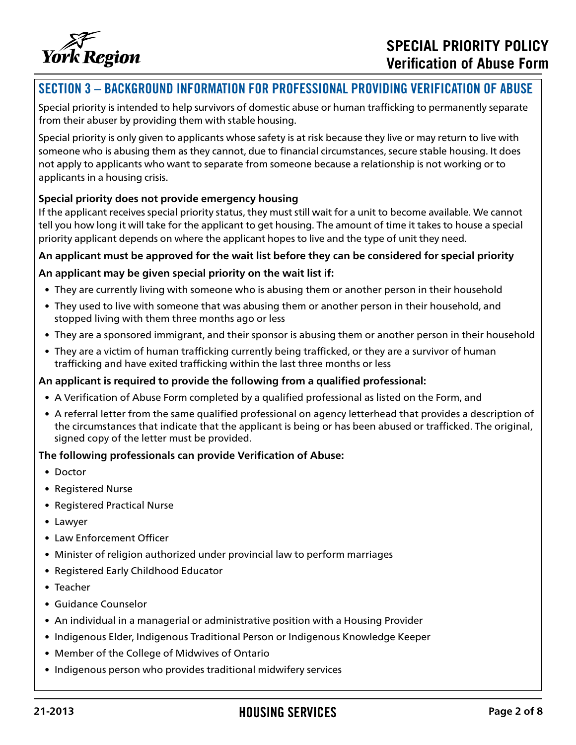

## SECTION 3 – BACKGROUND INFORMATION FOR PROFESSIONAL PROVIDING VERIFICATION OF ABUSE

Special priority is intended to help survivors of domestic abuse or human trafficking to permanently separate from their abuser by providing them with stable housing.

Special priority is only given to applicants whose safety is at risk because they live or may return to live with someone who is abusing them as they cannot, due to financial circumstances, secure stable housing. It does not apply to applicants who want to separate from someone because a relationship is not working or to applicants in a housing crisis.

#### **Special priority does not provide emergency housing**

If the applicant receives special priority status, they must still wait for a unit to become available. We cannot tell you how long it will take for the applicant to get housing. The amount of time it takes to house a special priority applicant depends on where the applicant hopes to live and the type of unit they need.

#### **An applicant must be approved for the wait list before they can be considered for special priority**

#### **An applicant may be given special priority on the wait list if:**

- They are currently living with someone who is abusing them or another person in their household
- They used to live with someone that was abusing them or another person in their household, and stopped living with them three months ago or less
- They are a sponsored immigrant, and their sponsor is abusing them or another person in their household
- They are a victim of human trafficking currently being trafficked, or they are a survivor of human trafficking and have exited trafficking within the last three months or less

#### **An applicant is required to provide the following from a qualified professional:**

- A Verification of Abuse Form completed by a qualified professional as listed on the Form, and
- A referral letter from the same qualified professional on agency letterhead that provides a description of the circumstances that indicate that the applicant is being or has been abused or trafficked. The original, signed copy of the letter must be provided.

#### **The following professionals can provide Verification of Abuse:**

- Doctor
- Registered Nurse
- Registered Practical Nurse
- Lawyer
- Law Enforcement Officer
- Minister of religion authorized under provincial law to perform marriages
- Registered Early Childhood Educator
- Teacher
- Guidance Counselor
- An individual in a managerial or administrative position with a Housing Provider
- Indigenous Elder, Indigenous Traditional Person or Indigenous Knowledge Keeper
- Member of the College of Midwives of Ontario
- Indigenous person who provides traditional midwifery services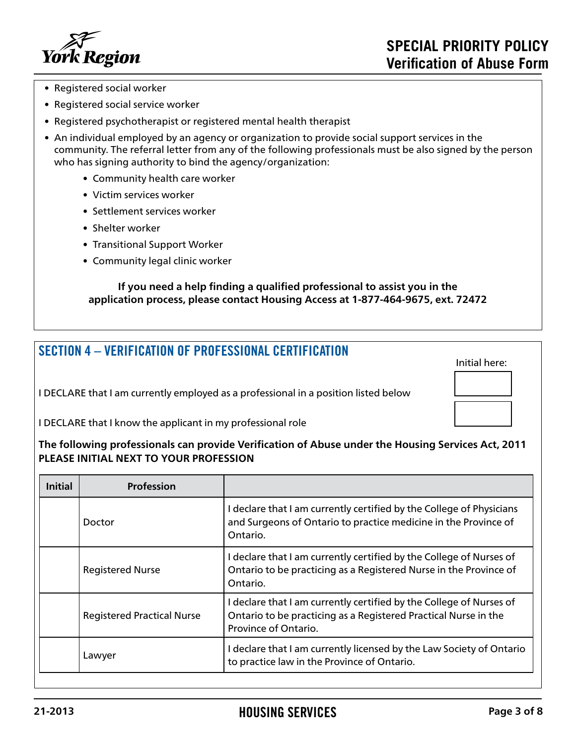



- Registered social worker
- Registered social service worker
- Registered psychotherapist or registered mental health therapist
- An individual employed by an agency or organization to provide social support services in the community. The referral letter from any of the following professionals must be also signed by the person who has signing authority to bind the agency/organization:
	- Community health care worker
	- Victim services worker
	- Settlement services worker
	- Shelter worker
	- Transitional Support Worker
	- Community legal clinic worker

#### **If you need a help finding a qualified professional to assist you in the application process, please contact Housing Access at 1-877-464-9675, ext. 72472**

## SECTION 4 – VERIFICATION OF PROFESSIONAL CERTIFICATION

Initial here:

I DECLARE that I know the applicant in my professional role

| The following professionals can provide Verification of Abuse under the Housing Services Act, 2011 |
|----------------------------------------------------------------------------------------------------|
| PLEASE INITIAL NEXT TO YOUR PROFESSION                                                             |

| <b>Initial</b> | <b>Profession</b>                 |                                                                                                                                                                |
|----------------|-----------------------------------|----------------------------------------------------------------------------------------------------------------------------------------------------------------|
|                | Doctor                            | I declare that I am currently certified by the College of Physicians<br>and Surgeons of Ontario to practice medicine in the Province of<br>Ontario.            |
|                | <b>Registered Nurse</b>           | I declare that I am currently certified by the College of Nurses of<br>Ontario to be practicing as a Registered Nurse in the Province of<br>Ontario.           |
|                | <b>Registered Practical Nurse</b> | I declare that I am currently certified by the College of Nurses of<br>Ontario to be practicing as a Registered Practical Nurse in the<br>Province of Ontario. |
|                | Lawyer                            | I declare that I am currently licensed by the Law Society of Ontario<br>to practice law in the Province of Ontario.                                            |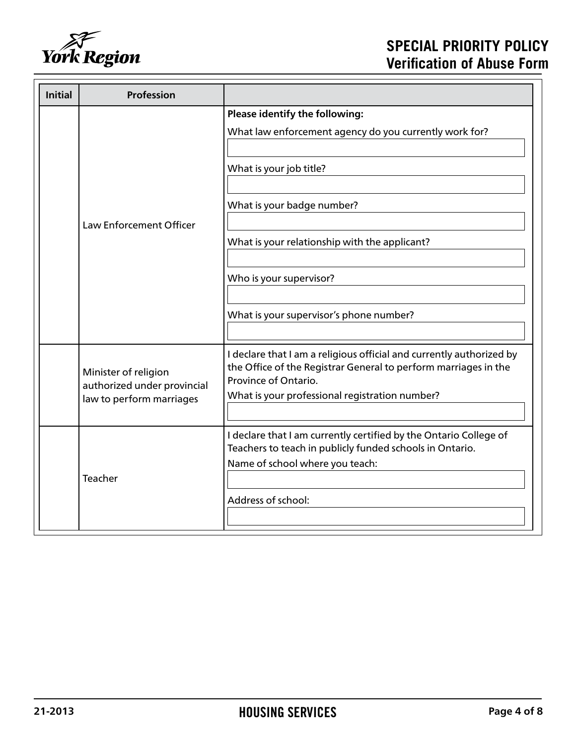

| <b>Initial</b> | <b>Profession</b>                                                               |                                                                                                                                                                                                                   |
|----------------|---------------------------------------------------------------------------------|-------------------------------------------------------------------------------------------------------------------------------------------------------------------------------------------------------------------|
|                |                                                                                 | Please identify the following:<br>What law enforcement agency do you currently work for?                                                                                                                          |
|                | <b>Law Enforcement Officer</b>                                                  | What is your job title?                                                                                                                                                                                           |
|                |                                                                                 | What is your badge number?                                                                                                                                                                                        |
|                |                                                                                 | What is your relationship with the applicant?                                                                                                                                                                     |
|                |                                                                                 | Who is your supervisor?                                                                                                                                                                                           |
|                |                                                                                 | What is your supervisor's phone number?                                                                                                                                                                           |
|                | Minister of religion<br>authorized under provincial<br>law to perform marriages | I declare that I am a religious official and currently authorized by<br>the Office of the Registrar General to perform marriages in the<br>Province of Ontario.<br>What is your professional registration number? |
|                | Teacher                                                                         | I declare that I am currently certified by the Ontario College of<br>Teachers to teach in publicly funded schools in Ontario.<br>Name of school where you teach:                                                  |
|                | Address of school:                                                              |                                                                                                                                                                                                                   |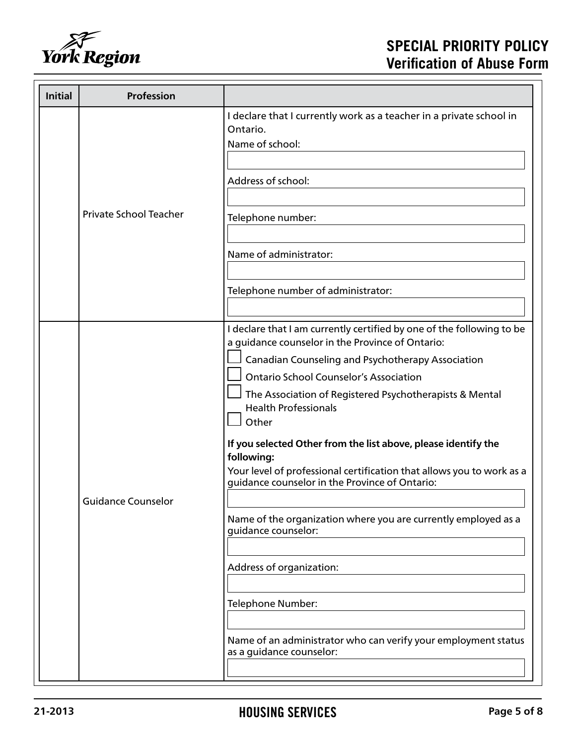

| <b>Initial</b> | <b>Profession</b>                                                                                                                                                                                       |                                                                                                                           |
|----------------|---------------------------------------------------------------------------------------------------------------------------------------------------------------------------------------------------------|---------------------------------------------------------------------------------------------------------------------------|
|                |                                                                                                                                                                                                         | I declare that I currently work as a teacher in a private school in<br>Ontario.<br>Name of school:                        |
|                |                                                                                                                                                                                                         | Address of school:                                                                                                        |
|                | <b>Private School Teacher</b>                                                                                                                                                                           | Telephone number:                                                                                                         |
|                |                                                                                                                                                                                                         | Name of administrator:                                                                                                    |
|                |                                                                                                                                                                                                         | Telephone number of administrator:                                                                                        |
|                |                                                                                                                                                                                                         | I declare that I am currently certified by one of the following to be<br>a guidance counselor in the Province of Ontario: |
|                |                                                                                                                                                                                                         | Canadian Counseling and Psychotherapy Association<br><b>Ontario School Counselor's Association</b>                        |
|                |                                                                                                                                                                                                         | The Association of Registered Psychotherapists & Mental<br><b>Health Professionals</b><br>Other                           |
|                | If you selected Other from the list above, please identify the<br>following:<br>Your level of professional certification that allows you to work as a<br>guidance counselor in the Province of Ontario: |                                                                                                                           |
|                | <b>Guidance Counselor</b>                                                                                                                                                                               |                                                                                                                           |
|                | Name of the organization where you are currently employed as a<br>guidance counselor:                                                                                                                   |                                                                                                                           |
|                |                                                                                                                                                                                                         | Address of organization:                                                                                                  |
|                |                                                                                                                                                                                                         | Telephone Number:                                                                                                         |
|                |                                                                                                                                                                                                         | Name of an administrator who can verify your employment status<br>as a guidance counselor:                                |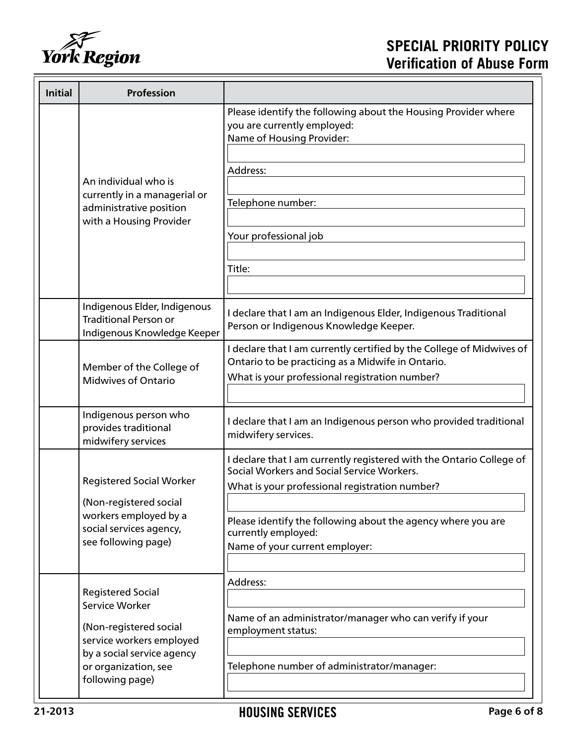

## **Verification of Abuse Form SPECIAL PRIORITY POLICY**

| <b>Initial</b> | Profession                                                                                                                                                                |                                                                                                                                                                                                                                                                                               |
|----------------|---------------------------------------------------------------------------------------------------------------------------------------------------------------------------|-----------------------------------------------------------------------------------------------------------------------------------------------------------------------------------------------------------------------------------------------------------------------------------------------|
|                |                                                                                                                                                                           | Please identify the following about the Housing Provider where<br>you are currently employed:<br>Name of Housing Provider:                                                                                                                                                                    |
|                | An individual who is<br>currently in a managerial or<br>administrative position<br>with a Housing Provider                                                                | Address:<br>Telephone number:<br>Your professional job                                                                                                                                                                                                                                        |
|                |                                                                                                                                                                           | Title:                                                                                                                                                                                                                                                                                        |
|                | Indigenous Elder, Indigenous<br><b>Traditional Person or</b><br>Indigenous Knowledge Keeper                                                                               | I declare that I am an Indigenous Elder, Indigenous Traditional<br>Person or Indigenous Knowledge Keeper.                                                                                                                                                                                     |
|                | Member of the College of<br><b>Midwives of Ontario</b>                                                                                                                    | I declare that I am currently certified by the College of Midwives of<br>Ontario to be practicing as a Midwife in Ontario.<br>What is your professional registration number?                                                                                                                  |
|                | Indigenous person who<br>provides traditional<br>midwifery services                                                                                                       | I declare that I am an Indigenous person who provided traditional<br>midwifery services.                                                                                                                                                                                                      |
|                | <b>Registered Social Worker</b><br>(Non-registered social<br>workers employed by a<br>social services agency,<br>see following page)                                      | I declare that I am currently registered with the Ontario College of<br>Social Workers and Social Service Workers.<br>What is your professional registration number?<br>Please identify the following about the agency where you are<br>currently employed:<br>Name of your current employer: |
|                | <b>Registered Social</b><br>Service Worker<br>(Non-registered social<br>service workers employed<br>by a social service agency<br>or organization, see<br>following page) | Address:<br>Name of an administrator/manager who can verify if your<br>employment status:<br>Telephone number of administrator/manager:                                                                                                                                                       |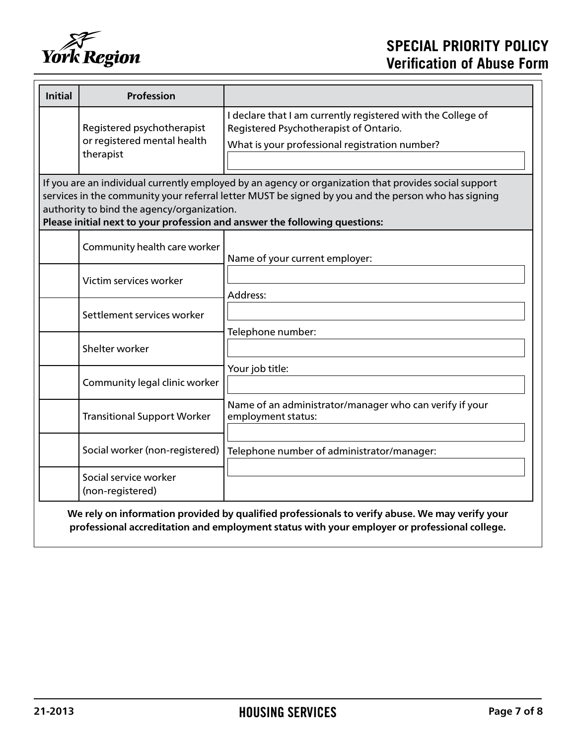

| <b>Initial</b> | <b>Profession</b>                                                      |                                                                                                                                                                                                                                                                                            |
|----------------|------------------------------------------------------------------------|--------------------------------------------------------------------------------------------------------------------------------------------------------------------------------------------------------------------------------------------------------------------------------------------|
|                | Registered psychotherapist<br>or registered mental health<br>therapist | I declare that I am currently registered with the College of<br>Registered Psychotherapist of Ontario.<br>What is your professional registration number?                                                                                                                                   |
|                | authority to bind the agency/organization.                             | If you are an individual currently employed by an agency or organization that provides social support<br>services in the community your referral letter MUST be signed by you and the person who has signing<br>Please initial next to your profession and answer the following questions: |
|                | Community health care worker                                           | Name of your current employer:                                                                                                                                                                                                                                                             |
|                | Victim services worker                                                 | Address:                                                                                                                                                                                                                                                                                   |
|                | Settlement services worker                                             | Telephone number:                                                                                                                                                                                                                                                                          |
|                | Shelter worker                                                         |                                                                                                                                                                                                                                                                                            |
|                | Community legal clinic worker                                          | Your job title:                                                                                                                                                                                                                                                                            |
|                | <b>Transitional Support Worker</b>                                     | Name of an administrator/manager who can verify if your<br>employment status:                                                                                                                                                                                                              |
|                | Social worker (non-registered)                                         | Telephone number of administrator/manager:                                                                                                                                                                                                                                                 |
|                | Social service worker<br>(non-registered)                              |                                                                                                                                                                                                                                                                                            |